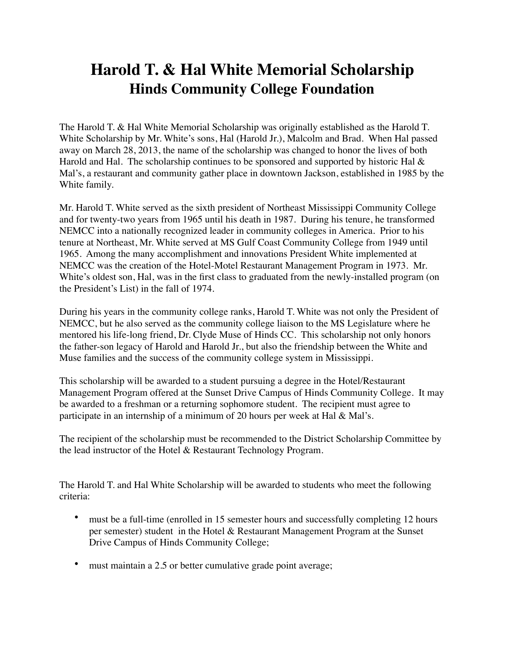## **Harold T. & Hal White Memorial Scholarship Hinds Community College Foundation**

The Harold T. & Hal White Memorial Scholarship was originally established as the Harold T. White Scholarship by Mr. White's sons, Hal (Harold Jr.), Malcolm and Brad. When Hal passed away on March 28, 2013, the name of the scholarship was changed to honor the lives of both Harold and Hal. The scholarship continues to be sponsored and supported by historic Hal  $\&$ Mal's, a restaurant and community gather place in downtown Jackson, established in 1985 by the White family.

Mr. Harold T. White served as the sixth president of Northeast Mississippi Community College and for twenty-two years from 1965 until his death in 1987. During his tenure, he transformed NEMCC into a nationally recognized leader in community colleges in America. Prior to his tenure at Northeast, Mr. White served at MS Gulf Coast Community College from 1949 until 1965. Among the many accomplishment and innovations President White implemented at NEMCC was the creation of the Hotel-Motel Restaurant Management Program in 1973. Mr. White's oldest son, Hal, was in the first class to graduated from the newly-installed program (on the President's List) in the fall of 1974.

During his years in the community college ranks, Harold T. White was not only the President of NEMCC, but he also served as the community college liaison to the MS Legislature where he mentored his life-long friend, Dr. Clyde Muse of Hinds CC. This scholarship not only honors the father-son legacy of Harold and Harold Jr., but also the friendship between the White and Muse families and the success of the community college system in Mississippi.

This scholarship will be awarded to a student pursuing a degree in the Hotel/Restaurant Management Program offered at the Sunset Drive Campus of Hinds Community College. It may be awarded to a freshman or a returning sophomore student. The recipient must agree to participate in an internship of a minimum of 20 hours per week at Hal & Mal's.

The recipient of the scholarship must be recommended to the District Scholarship Committee by the lead instructor of the Hotel & Restaurant Technology Program.

The Harold T. and Hal White Scholarship will be awarded to students who meet the following criteria:

- must be a full-time (enrolled in 15 semester hours and successfully completing 12 hours per semester) student in the Hotel & Restaurant Management Program at the Sunset Drive Campus of Hinds Community College;
- must maintain a 2.5 or better cumulative grade point average;